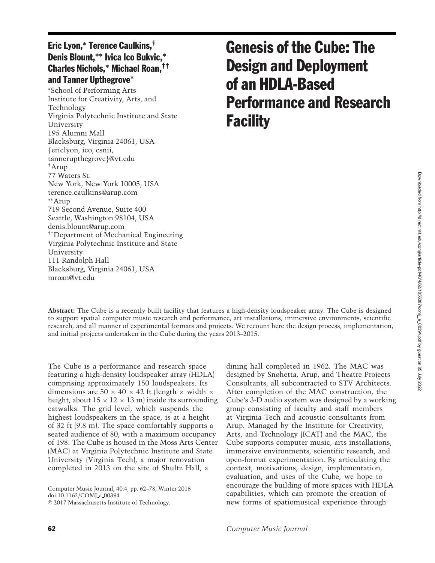# Eric Lyon,**<sup>∗</sup>** Terence Caulkins,† Denis Blount,**∗∗** Ivica Ico Bukvic,**∗** Charles Nichols,**<sup>∗</sup>** Michael Roan,†† and Tanner Upthegrove**∗**

<sup>∗</sup>School of Performing Arts Institute for Creativity, Arts, and Technology Virginia Polytechnic Institute and State University 195 Alumni Mall Blacksburg, Virginia 24061, USA {ericlyon, ico, csnii, tannerupthegrove}@vt.edu †Arup 77 Waters St. New York, New York 10005, USA terence.caulkins@arup.com ∗∗Arup 719 Second Avenue, Suite 400 Seattle, Washington 98104, USA denis.blount@arup.com ††Department of Mechanical Engineering Virginia Polytechnic Institute and State University 111 Randolph Hall Blacksburg, Virginia 24061, USA mroan@vt.edu

# Genesis of the Cube: The Design and Deployment of an HDLA-Based Performance and Research **Facility**

**Abstract:** The Cube is a recently built facility that features a high-density loudspeaker array. The Cube is designed to support spatial computer music research and performance, art installations, immersive environments, scientific research, and all manner of experimental formats and projects. We recount here the design process, implementation, and initial projects undertaken in the Cube during the years 2013–2015.

The Cube is a performance and research space featuring a high-density loudspeaker array (HDLA) comprising approximately 150 loudspeakers. Its dimensions are  $50 \times 40 \times 42$  ft (length  $\times$  width  $\times$ height, about  $15 \times 12 \times 13$  m) inside its surrounding catwalks. The grid level, which suspends the highest loudspeakers in the space, is at a height of 32 ft (9.8 m). The space comfortably supports a seated audience of 80, with a maximum occupancy of 198. The Cube is housed in the Moss Arts Center (MAC) at Virginia Polytechnic Institute and State University (Virginia Tech), a major renovation completed in 2013 on the site of Shultz Hall, a

Computer Music Journal, 40:4, pp. 62–78, Winter 2016 doi:10.1162/COMJ a 00394

-c 2017 Massachusetts Institute of Technology.

dining hall completed in 1962. The MAC was designed by Snøhetta, Arup, and Theatre Projects Consultants, all subcontracted to STV Architects. After completion of the MAC construction, the Cube's 3-D audio system was designed by a working group consisting of faculty and staff members at Virginia Tech and acoustic consultants from Arup. Managed by the Institute for Creativity, Arts, and Technology (ICAT) and the MAC, the Cube supports computer music, arts installations, immersive environments, scientific research, and open-format experimentation. By articulating the context, motivations, design, implementation, evaluation, and uses of the Cube, we hope to encourage the building of more spaces with HDLA capabilities, which can promote the creation of new forms of spatiomusical experience through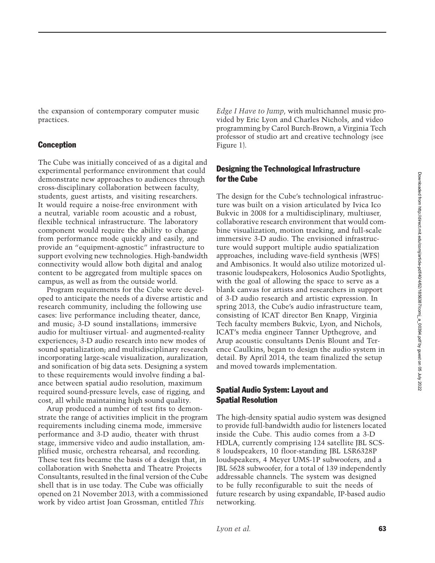the expansion of contemporary computer music practices.

## Conception

The Cube was initially conceived of as a digital and experimental performance environment that could demonstrate new approaches to audiences through cross-disciplinary collaboration between faculty, students, guest artists, and visiting researchers. It would require a noise-free environment with a neutral, variable room acoustic and a robust, flexible technical infrastructure. The laboratory component would require the ability to change from performance mode quickly and easily, and provide an "equipment-agnostic" infrastructure to support evolving new technologies. High-bandwidth connectivity would allow both digital and analog content to be aggregated from multiple spaces on campus, as well as from the outside world.

Program requirements for the Cube were developed to anticipate the needs of a diverse artistic and research community, including the following use cases: live performance including theater, dance, and music; 3-D sound installations; immersive audio for multiuser virtual- and augmented-reality experiences; 3-D audio research into new modes of sound spatialization; and multidisciplinary research incorporating large-scale visualization, auralization, and sonification of big data sets. Designing a system to these requirements would involve finding a balance between spatial audio resolution, maximum required sound-pressure levels, ease of rigging, and cost, all while maintaining high sound quality.

Arup produced a number of test fits to demonstrate the range of activities implicit in the program requirements including cinema mode, immersive performance and 3-D audio, theater with thrust stage, immersive video and audio installation, amplified music, orchestra rehearsal, and recording. These test fits became the basis of a design that, in collaboration with Snøhetta and Theatre Projects Consultants, resulted in the final version of the Cube shell that is in use today. The Cube was officially opened on 21 November 2013, with a commissioned work by video artist Joan Grossman, entitled *This*

*Edge I Have to Jump*, with multichannel music provided by Eric Lyon and Charles Nichols, and video programming by Carol Burch-Brown, a Virginia Tech professor of studio art and creative technology (see Figure 1).

# Designing the Technological Infrastructure for the Cube

The design for the Cube's technological infrastructure was built on a vision articulated by Ivica Ico Bukvic in 2008 for a multidisciplinary, multiuser, collaborative research environment that would combine visualization, motion tracking, and full-scale immersive 3-D audio. The envisioned infrastructure would support multiple audio spatialization approaches, including wave-field synthesis (WFS) and Ambisonics. It would also utilize motorized ultrasonic loudspeakers, Holosonics Audio Spotlights, with the goal of allowing the space to serve as a blank canvas for artists and researchers in support of 3-D audio research and artistic expression. In spring 2013, the Cube's audio infrastructure team, consisting of ICAT director Ben Knapp, Virginia Tech faculty members Bukvic, Lyon, and Nichols, ICAT's media engineer Tanner Upthegrove, and Arup acoustic consultants Denis Blount and Terence Caulkins, began to design the audio system in detail. By April 2014, the team finalized the setup and moved towards implementation.

## Spatial Audio System: Layout and Spatial Resolution

The high-density spatial audio system was designed to provide full-bandwidth audio for listeners located inside the Cube. This audio comes from a 3-D HDLA, currently comprising 124 satellite JBL SCS-8 loudspeakers, 10 floor-standing JBL LSR6328P loudspeakers, 4 Meyer UMS-1P subwoofers, and a JBL 5628 subwoofer, for a total of 139 independently addressable channels. The system was designed to be fully reconfigurable to suit the needs of future research by using expandable, IP-based audio networking.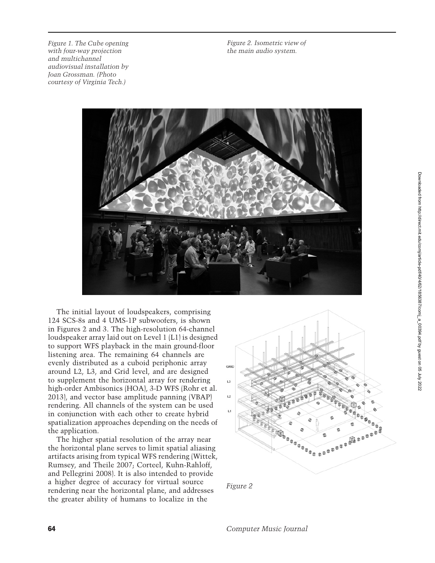*Figure 1. The Cube opening with four-way projection and multichannel audiovisual installation by Joan Grossman. (Photo courtesy of Virginia Tech.)*

*Figure 2. Isometric view of the main audio system.*



The initial layout of loudspeakers, comprising 124 SCS-8s and 4 UMS-1P subwoofers, is shown in Figures 2 and 3. The high-resolution 64-channel loudspeaker array laid out on Level 1 (L1) is designed to support WFS playback in the main ground-floor listening area. The remaining 64 channels are evenly distributed as a cuboid periphonic array around L2, L3, and Grid level, and are designed to supplement the horizontal array for rendering high-order Ambisonics (HOA), 3-D WFS (Rohr et al. 2013), and vector base amplitude panning (VBAP) rendering. All channels of the system can be used in conjunction with each other to create hybrid spatialization approaches depending on the needs of the application.

The higher spatial resolution of the array near the horizontal plane serves to limit spatial aliasing artifacts arising from typical WFS rendering (Wittek, Rumsey, and Theile 2007; Corteel, Kuhn-Rahloff, and Pellegrini 2008). It is also intended to provide a higher degree of accuracy for virtual source rendering near the horizontal plane, and addresses the greater ability of humans to localize in the



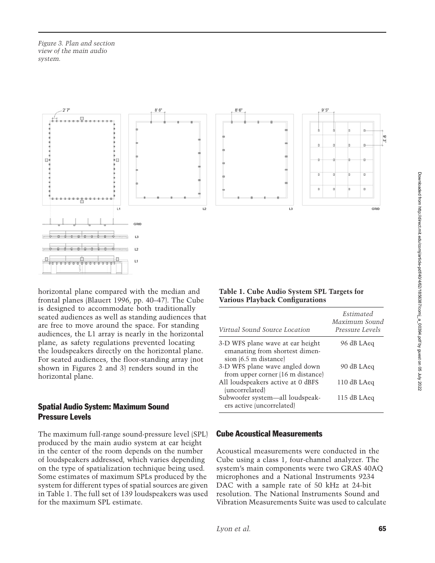*Figure 3. Plan and section view of the main audio system.*



horizontal plane compared with the median and frontal planes (Blauert 1996, pp. 40–47). The Cube is designed to accommodate both traditionally seated audiences as well as standing audiences that are free to move around the space. For standing audiences, the L1 array is nearly in the horizontal plane, as safety regulations prevented locating the loudspeakers directly on the horizontal plane. For seated audiences, the floor-standing array (not shown in Figures 2 and 3) renders sound in the horizontal plane.

## Spatial Audio System: Maximum Sound Pressure Levels

The maximum full-range sound-pressure level (SPL) produced by the main audio system at ear height in the center of the room depends on the number of loudspeakers addressed, which varies depending on the type of spatialization technique being used. Some estimates of maximum SPLs produced by the system for different types of spatial sources are given in Table 1. The full set of 139 loudspeakers was used for the maximum SPL estimate.

## **Table 1. Cube Audio System SPL Targets for Various Playback Configurations**

| Virtual Sound Source Location                                                               | Estimated<br>Maximum Sound<br>Pressure Levels |
|---------------------------------------------------------------------------------------------|-----------------------------------------------|
| 3-D WFS plane wave at ear height<br>emanating from shortest dimen-<br>sion (6.5 m distance) | 96 dB LAeq                                    |
| 3-D WFS plane wave angled down<br>from upper corner (16 m distance)                         | 90 dB LAeq                                    |
| All loudspeakers active at 0 dBFS<br>(uncorrelated)                                         | 110 dB LAeq                                   |
| Subwoofer system—all loudspeak-<br>ers active (uncorrelated)                                | 115 dB LAeq                                   |

## Cube Acoustical Measurements

Acoustical measurements were conducted in the Cube using a class 1, four-channel analyzer. The system's main components were two GRAS 40AQ microphones and a National Instruments 9234 DAC with a sample rate of 50 kHz at 24-bit resolution. The National Instruments Sound and Vibration Measurements Suite was used to calculate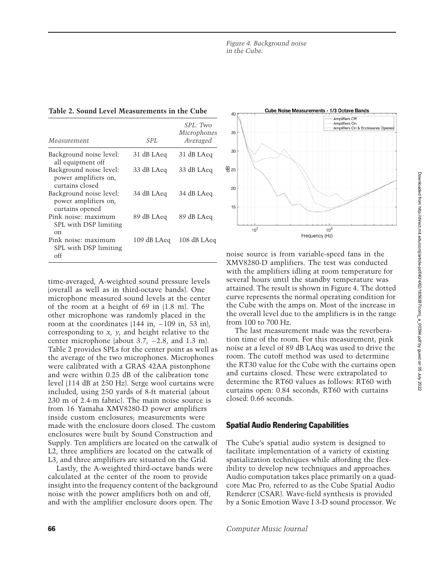| Table 2. Sound Level Measurements in the Cube |  |  |  |  |
|-----------------------------------------------|--|--|--|--|
|-----------------------------------------------|--|--|--|--|

| Measurement                                                        | SPL.        | SPL: Two<br>Microphones<br>Averaged |
|--------------------------------------------------------------------|-------------|-------------------------------------|
| Background noise level:<br>all equipment off                       | 31 dB LAeq  | 31 dB LAeq                          |
| Background noise level:<br>power amplifiers on,<br>curtains closed | 33 dB LAeq  | 33 dB LAeq                          |
| Background noise level:<br>power amplifiers on,<br>curtains opened | 34 dB LAeq  | 34 dB LAeq                          |
| Pink noise: maximum<br>SPL with DSP limiting<br>$_{\rm on}$        | 89 dB LAeq  | 89 dB LAeq                          |
| Pink noise: maximum<br>SPL with DSP limiting<br>off                | 109 dB LAeq | 108 dB LAeq                         |

time-averaged, A-weighted sound pressure levels (overall as well as in third-octave bands). One microphone measured sound levels at the center of the room at a height of 69 in (1.8 m). The other microphone was randomly placed in the room at the coordinates  $(144 \text{ in}, -109 \text{ in}, 53 \text{ in})$ , corresponding to *x*, *y*, and height relative to the center microphone (about 3.7, −2.8, and 1.3 m). Table 2 provides SPLs for the center point as well as the average of the two microphones. Microphones were calibrated with a GRAS 42AA pistonphone and were within 0.25 dB of the calibration tone level (114 dB at 250 Hz). Serge wool curtains were included, using 250 yards of 8-ft material (about 230 m of 2.4-m fabric). The main noise source is from 16 Yamaha XMV8280-D power amplifiers inside custom enclosures; measurements were made with the enclosure doors closed. The custom enclosures were built by Sound Construction and Supply. Ten amplifiers are located on the catwalk of L2, three amplifiers are located on the catwalk of L3, and three amplifiers are situated on the Grid.

Lastly, the A-weighted third-octave bands were calculated at the center of the room to provide insight into the frequency content of the background noise with the power amplifiers both on and off, and with the amplifier enclosure doors open. The



noise source is from variable-speed fans in the XMV8280-D amplifiers. The test was conducted with the amplifiers idling at room temperature for several hours until the standby temperature was attained. The result is shown in Figure 4. The dotted curve represents the normal operating condition for the Cube with the amps on. Most of the increase in the overall level due to the amplifiers is in the range from 100 to 700 Hz.

The last measurement made was the reverberation time of the room. For this measurement, pink noise at a level of 89 dB LAeq was used to drive the room. The cutoff method was used to determine the RT30 value for the Cube with the curtains open and curtains closed. These were extrapolated to determine the RT60 values as follows: RT60 with curtains open: 0.84 seconds, RT60 with curtains closed: 0.66 seconds.

# Spatial Audio Rendering Capabilities

The Cube's spatial audio system is designed to facilitate implementation of a variety of existing spatialization techniques while affording the flexibility to develop new techniques and approaches. Audio computation takes place primarily on a quadcore Mac Pro, referred to as the Cube Spatial Audio Renderer (CSAR). Wave-field synthesis is provided by a Sonic Emotion Wave I 3-D sound processor. We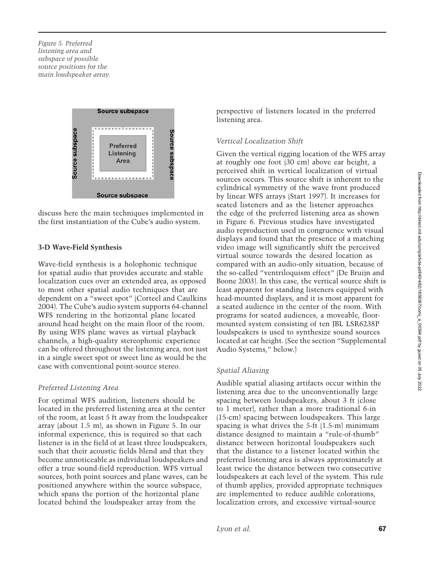*Figure 5. Preferred listening area and subspace of possible source positions for the main loudspeaker array.*



discuss here the main techniques implemented in the first instantiation of the Cube's audio system.

#### **3-D Wave-Field Synthesis**

Wave-field synthesis is a holophonic technique for spatial audio that provides accurate and stable localization cues over an extended area, as opposed to most other spatial audio techniques that are dependent on a "sweet spot" (Corteel and Caulkins 2004). The Cube's audio system supports 64-channel WFS rendering in the horizontal plane located around head height on the main floor of the room. By using WFS plane waves as virtual playback channels, a high-quality stereophonic experience can be offered throughout the listening area, not just in a single sweet spot or sweet line as would be the case with conventional point-source stereo.

#### *Preferred Listening Area*

For optimal WFS audition, listeners should be located in the preferred listening area at the center of the room, at least 5 ft away from the loudspeaker array (about 1.5 m), as shown in Figure 5. In our informal experience, this is required so that each listener is in the field of at least three loudspeakers, such that their acoustic fields blend and that they become unnoticeable as individual loudspeakers and offer a true sound-field reproduction. WFS virtual sources, both point sources and plane waves, can be positioned anywhere within the source subspace, which spans the portion of the horizontal plane located behind the loudspeaker array from the

perspective of listeners located in the preferred listening area.

#### *Vertical Localization Shift*

Given the vertical rigging location of the WFS array at roughly one foot (30 cm) above ear height, a perceived shift in vertical localization of virtual sources occurs. This source shift is inherent to the cylindrical symmetry of the wave front produced by linear WFS arrays (Start 1997). It increases for seated listeners and as the listener approaches the edge of the preferred listening area as shown in Figure 6. Previous studies have investigated audio reproduction used in congruence with visual displays and found that the presence of a matching video image will significantly shift the perceived virtual source towards the desired location as compared with an audio-only situation, because of the so-called "ventriloquism effect" (De Bruijn and Boone 2003). In this case, the vertical source shift is least apparent for standing listeners equipped with head-mounted displays, and it is most apparent for a seated audience in the center of the room. With programs for seated audiences, a moveable, floormounted system consisting of ten JBL LSR6238P loudspeakers is used to synthesize sound sources located at ear height. (See the section "Supplemental Audio Systems," below.)

#### *Spatial Aliasing*

Audible spatial aliasing artifacts occur within the listening area due to the unconventionally large spacing between loudspeakers, about 3 ft (close to 1 meter), rather than a more traditional 6-in (15-cm) spacing between loudspeakers. This large spacing is what drives the 5-ft (1.5-m) minimum distance designed to maintain a "rule-of-thumb" distance between horizontal loudspeakers such that the distance to a listener located within the preferred listening area is always approximately at least twice the distance between two consecutive loudspeakers at each level of the system. This rule of thumb applies, provided appropriate techniques are implemented to reduce audible colorations, localization errors, and excessive virtual-source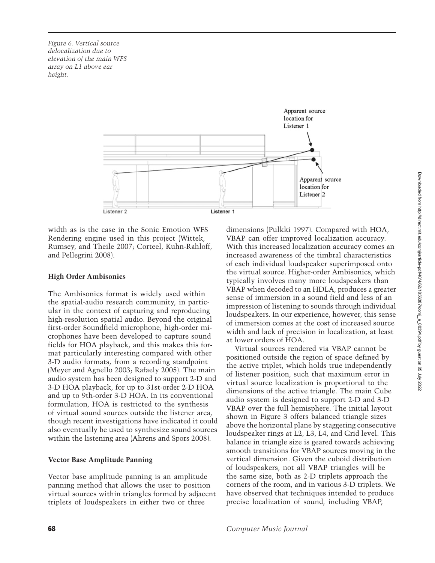*Figure 6. Vertical source delocalization due to elevation of the main WFS array on L1 above ear height.*



width as is the case in the Sonic Emotion WFS Rendering engine used in this project (Wittek, Rumsey, and Theile 2007; Corteel, Kuhn-Rahloff, and Pellegrini 2008).

### **High Order Ambisonics**

The Ambisonics format is widely used within the spatial-audio research community, in particular in the context of capturing and reproducing high-resolution spatial audio. Beyond the original first-order Soundfield microphone, high-order microphones have been developed to capture sound fields for HOA playback, and this makes this format particularly interesting compared with other 3-D audio formats, from a recording standpoint (Meyer and Agnello 2003; Rafaely 2005). The main audio system has been designed to support 2-D and 3-D HOA playback, for up to 31st-order 2-D HOA and up to 9th-order 3-D HOA. In its conventional formulation, HOA is restricted to the synthesis of virtual sound sources outside the listener area, though recent investigations have indicated it could also eventually be used to synthesize sound sources within the listening area (Ahrens and Spors 2008).

## **Vector Base Amplitude Panning**

Vector base amplitude panning is an amplitude panning method that allows the user to position virtual sources within triangles formed by adjacent triplets of loudspeakers in either two or three

dimensions (Pulkki 1997). Compared with HOA, VBAP can offer improved localization accuracy. With this increased localization accuracy comes an increased awareness of the timbral characteristics of each individual loudspeaker superimposed onto the virtual source. Higher-order Ambisonics, which typically involves many more loudspeakers than VBAP when decoded to an HDLA, produces a greater sense of immersion in a sound field and less of an impression of listening to sounds through individual loudspeakers. In our experience, however, this sense of immersion comes at the cost of increased source width and lack of precision in localization, at least at lower orders of HOA.

Virtual sources rendered via VBAP cannot be positioned outside the region of space defined by the active triplet, which holds true independently of listener position, such that maximum error in virtual source localization is proportional to the dimensions of the active triangle. The main Cube audio system is designed to support 2-D and 3-D VBAP over the full hemisphere. The initial layout shown in Figure 3 offers balanced triangle sizes above the horizontal plane by staggering consecutive loudspeaker rings at L2, L3, L4, and Grid level. This balance in triangle size is geared towards achieving smooth transitions for VBAP sources moving in the vertical dimension. Given the cuboid distribution of loudspeakers, not all VBAP triangles will be the same size, both as 2-D triplets approach the corners of the room, and in various 3-D triplets. We have observed that techniques intended to produce precise localization of sound, including VBAP,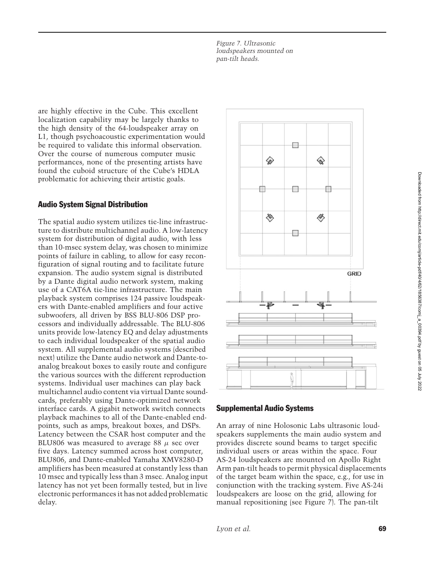*Figure 7. Ultrasonic loudspeakers mounted on pan-tilt heads.*

are highly effective in the Cube. This excellent localization capability may be largely thanks to the high density of the 64-loudspeaker array on L1, though psychoacoustic experimentation would be required to validate this informal observation. Over the course of numerous computer music performances, none of the presenting artists have found the cuboid structure of the Cube's HDLA problematic for achieving their artistic goals.

## Audio System Signal Distribution

The spatial audio system utilizes tie-line infrastructure to distribute multichannel audio. A low-latency system for distribution of digital audio, with less than 10-msec system delay, was chosen to minimize points of failure in cabling, to allow for easy reconfiguration of signal routing and to facilitate future expansion. The audio system signal is distributed by a Dante digital audio network system, making use of a CAT6A tie-line infrastructure. The main playback system comprises 124 passive loudspeakers with Dante-enabled amplifiers and four active subwoofers, all driven by BSS BLU-806 DSP processors and individually addressable. The BLU-806 units provide low-latency EQ and delay adjustments to each individual loudspeaker of the spatial audio system. All supplemental audio systems (described next) utilize the Dante audio network and Dante-toanalog breakout boxes to easily route and configure the various sources with the different reproduction systems. Individual user machines can play back multichannel audio content via virtual Dante soundcards, preferably using Dante-optimized network interface cards. A gigabit network switch connects playback machines to all of the Dante-enabled endpoints, such as amps, breakout boxes, and DSPs. Latency between the CSAR host computer and the BLU806 was measured to average 88  $\mu$  sec over five days. Latency summed across host computer, BLU806, and Dante-enabled Yamaha XMV8280-D amplifiers has been measured at constantly less than 10 msec and typically less than 3 msec. Analog input latency has not yet been formally tested, but in live electronic performances it has not added problematic delay.



### Supplemental Audio Systems

An array of nine Holosonic Labs ultrasonic loudspeakers supplements the main audio system and provides discrete sound beams to target specific individual users or areas within the space. Four AS-24 loudspeakers are mounted on Apollo Right Arm pan-tilt heads to permit physical displacements of the target beam within the space, e.g., for use in conjunction with the tracking system. Five AS-24i loudspeakers are loose on the grid, allowing for manual repositioning (see Figure 7). The pan-tilt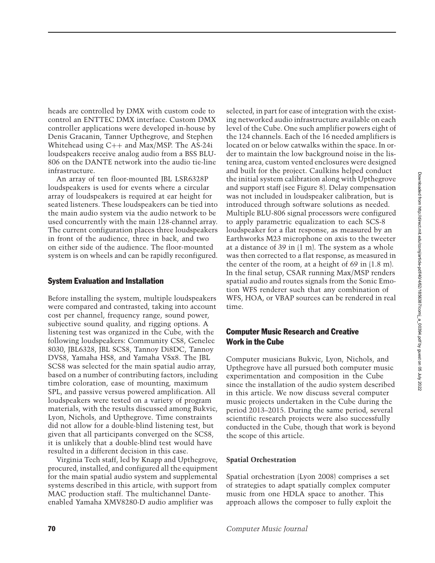heads are controlled by DMX with custom code to control an ENTTEC DMX interface. Custom DMX controller applications were developed in-house by Denis Gracanin, Tanner Upthegrove, and Stephen Whitehead using C++ and Max/MSP. The AS-24i loudspeakers receive analog audio from a BSS BLU-806 on the DANTE network into the audio tie-line infrastructure.

An array of ten floor-mounted JBL LSR6328P loudspeakers is used for events where a circular array of loudspeakers is required at ear height for seated listeners. These loudspeakers can be tied into the main audio system via the audio network to be used concurrently with the main 128-channel array. The current configuration places three loudspeakers in front of the audience, three in back, and two on either side of the audience. The floor-mounted system is on wheels and can be rapidly reconfigured.

## System Evaluation and Installation

Before installing the system, multiple loudspeakers were compared and contrasted, taking into account cost per channel, frequency range, sound power, subjective sound quality, and rigging options. A listening test was organized in the Cube, with the following loudspeakers: Community CS8, Genelec 8030, JBL6328, JBL SCS8, Tannoy Di8DC, Tannoy DVS8, Yamaha HS8, and Yamaha VSx8. The JBL SCS8 was selected for the main spatial audio array, based on a number of contributing factors, including timbre coloration, ease of mounting, maximum SPL, and passive versus powered amplification. All loudspeakers were tested on a variety of program materials, with the results discussed among Bukvic, Lyon, Nichols, and Upthegrove. Time constraints did not allow for a double-blind listening test, but given that all participants converged on the SCS8, it is unlikely that a double-blind test would have resulted in a different decision in this case.

Virginia Tech staff, led by Knapp and Upthegrove, procured, installed, and configured all the equipment for the main spatial audio system and supplemental systems described in this article, with support from MAC production staff. The multichannel Danteenabled Yamaha XMV8280-D audio amplifier was

selected, in part for ease of integration with the existing networked audio infrastructure available on each level of the Cube. One such amplifier powers eight of the 124 channels. Each of the 16 needed amplifiers is located on or below catwalks within the space. In order to maintain the low background noise in the listening area, custom vented enclosures were designed and built for the project. Caulkins helped conduct the initial system calibration along with Upthegrove and support staff (see Figure 8). Delay compensation was not included in loudspeaker calibration, but is introduced through software solutions as needed. Multiple BLU-806 signal processors were configured to apply parametric equalization to each SCS-8 loudspeaker for a flat response, as measured by an Earthworks M23 microphone on axis to the tweeter at a distance of 39 in (1 m). The system as a whole was then corrected to a flat response, as measured in the center of the room, at a height of 69 in (1.8 m). In the final setup, CSAR running Max/MSP renders spatial audio and routes signals from the Sonic Emotion WFS renderer such that any combination of WFS, HOA, or VBAP sources can be rendered in real time.

## Computer Music Research and Creative Work in the Cube

Computer musicians Bukvic, Lyon, Nichols, and Upthegrove have all pursued both computer music experimentation and composition in the Cube since the installation of the audio system described in this article. We now discuss several computer music projects undertaken in the Cube during the period 2013–2015. During the same period, several scientific research projects were also successfully conducted in the Cube, though that work is beyond the scope of this article.

### **Spatial Orchestration**

Spatial orchestration (Lyon 2008) comprises a set of strategies to adapt spatially complex computer music from one HDLA space to another. This approach allows the composer to fully exploit the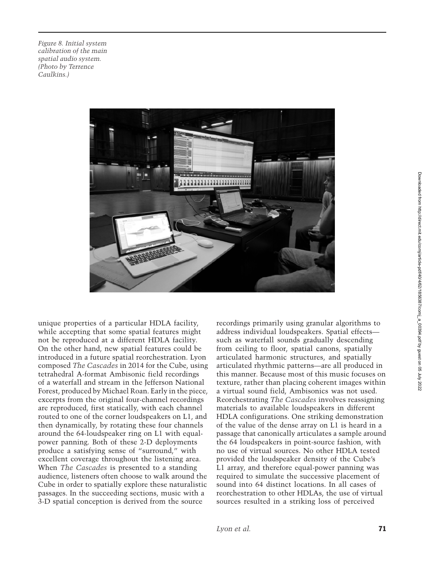*Figure 8. Initial system calibration of the main spatial audio system. (Photo by Terrence Caulkins.)*



unique properties of a particular HDLA facility, while accepting that some spatial features might not be reproduced at a different HDLA facility. On the other hand, new spatial features could be introduced in a future spatial reorchestration. Lyon composed *The Cascades* in 2014 for the Cube, using tetrahedral A-format Ambisonic field recordings of a waterfall and stream in the Jefferson National Forest, produced by Michael Roan. Early in the piece, excerpts from the original four-channel recordings are reproduced, first statically, with each channel routed to one of the corner loudspeakers on L1, and then dynamically, by rotating these four channels around the 64-loudspeaker ring on L1 with equalpower panning. Both of these 2-D deployments produce a satisfying sense of "surround," with excellent coverage throughout the listening area. When *The Cascades* is presented to a standing audience, listeners often choose to walk around the Cube in order to spatially explore these naturalistic passages. In the succeeding sections, music with a 3-D spatial conception is derived from the source

recordings primarily using granular algorithms to address individual loudspeakers. Spatial effects such as waterfall sounds gradually descending from ceiling to floor, spatial canons, spatially articulated harmonic structures, and spatially articulated rhythmic patterns—are all produced in this manner. Because most of this music focuses on texture, rather than placing coherent images within a virtual sound field, Ambisonics was not used. Reorchestrating *The Cascades* involves reassigning materials to available loudspeakers in different HDLA configurations. One striking demonstration of the value of the dense array on L1 is heard in a passage that canonically articulates a sample around the 64 loudspeakers in point-source fashion, with no use of virtual sources. No other HDLA tested provided the loudspeaker density of the Cube's L1 array, and therefore equal-power panning was required to simulate the successive placement of sound into 64 distinct locations. In all cases of reorchestration to other HDLAs, the use of virtual sources resulted in a striking loss of perceived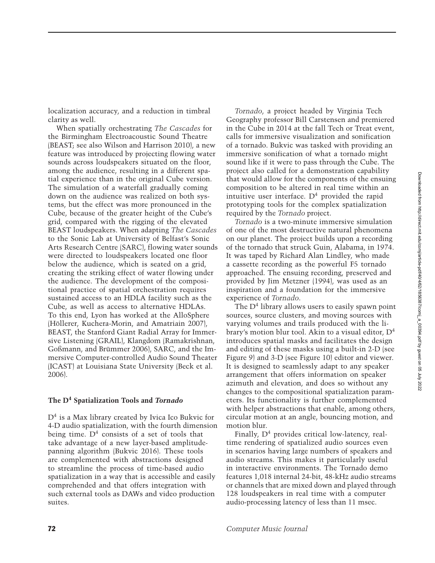localization accuracy, and a reduction in timbral clarity as well.

When spatially orchestrating *The Cascades* for the Birmingham Electroacoustic Sound Theatre (BEAST; see also Wilson and Harrison 2010), a new feature was introduced by projecting flowing water sounds across loudspeakers situated on the floor, among the audience, resulting in a different spatial experience than in the original Cube version. The simulation of a waterfall gradually coming down on the audience was realized on both systems, but the effect was more pronounced in the Cube, because of the greater height of the Cube's grid, compared with the rigging of the elevated BEAST loudspeakers. When adapting *The Cascades* to the Sonic Lab at University of Belfast's Sonic Arts Research Centre (SARC), flowing water sounds were directed to loudspeakers located one floor below the audience, which is seated on a grid, creating the striking effect of water flowing under the audience. The development of the compositional practice of spatial orchestration requires sustained access to an HDLA facility such as the Cube, as well as access to alternative HDLAs. To this end, Lyon has worked at the AlloSphere (Höllerer, Kuchera-Morin, and Amatriain 2007), BEAST, the Stanford Giant Radial Array for Immersive Listening (GRAIL), Klangdom (Ramakrishnan, Goßmann, and Brümmer 2006), SARC, and the Immersive Computer-controlled Audio Sound Theater (ICAST) at Louisiana State University (Beck et al. 2006).

#### **The D4 Spatialization Tools and** *Tornado*

 $D<sup>4</sup>$  is a Max library created by Ivica Ico Bukvic for 4-D audio spatialization, with the fourth dimension being time.  $D<sup>4</sup>$  consists of a set of tools that take advantage of a new layer-based amplitudepanning algorithm (Bukvic 2016). These tools are complemented with abstractions designed to streamline the process of time-based audio spatialization in a way that is accessible and easily comprehended and that offers integration with such external tools as DAWs and video production suites.

*Tornado*, a project headed by Virginia Tech Geography professor Bill Carstensen and premiered in the Cube in 2014 at the fall Tech or Treat event, calls for immersive visualization and sonification of a tornado. Bukvic was tasked with providing an immersive sonification of what a tornado might sound like if it were to pass through the Cube. The project also called for a demonstration capability that would allow for the components of the ensuing composition to be altered in real time within an intuitive user interface.  $D<sup>4</sup>$  provided the rapid prototyping tools for the complex spatialization required by the *Tornado* project.

*Tornado* is a two-minute immersive simulation of one of the most destructive natural phenomena on our planet. The project builds upon a recording of the tornado that struck Guin, Alabama, in 1974. It was taped by Richard Alan Lindley, who made a cassette recording as the powerful F5 tornado approached. The ensuing recording, preserved and provided by Jim Metzner (1994), was used as an inspiration and a foundation for the immersive experience of *Tornado*.

The  $D<sup>4</sup>$  library allows users to easily spawn point sources, source clusters, and moving sources with varying volumes and trails produced with the library's motion blur tool. Akin to a visual editor, D4 introduces spatial masks and facilitates the design and editing of these masks using a built-in 2-D (see Figure 9) and 3-D (see Figure 10) editor and viewer. It is designed to seamlessly adapt to any speaker arrangement that offers information on speaker azimuth and elevation, and does so without any changes to the compositional spatialization parameters. Its functionality is further complemented with helper abstractions that enable, among others, circular motion at an angle, bouncing motion, and motion blur.

Finally,  $D<sup>4</sup>$  provides critical low-latency, realtime rendering of spatialized audio sources even in scenarios having large numbers of speakers and audio streams. This makes it particularly useful in interactive environments. The Tornado demo features 1,018 internal 24-bit, 48-kHz audio streams or channels that are mixed down and played through 128 loudspeakers in real time with a computer audio-processing latency of less than 11 msec.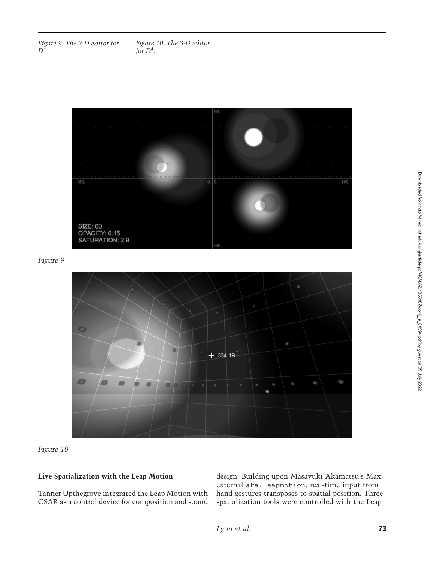*Figure 9. The 2-D editor for D*<sup>4</sup>*.*



*Figure 9*



*Figure 10*

## **Live Spatialization with the Leap Motion**

Tanner Upthegrove integrated the Leap Motion with CSAR as a control device for composition and sound design. Building upon Masayuki Akamatsu's Max external aka.leapmotion, real-time input from hand gestures transposes to spatial position. Three spatialization tools were controlled with the Leap

Downloaded from http://direct.mit.edu/comj/article-pdf/40/4/62/1856387/comj\_a\_00394.pdf by guest on 05 July 2022 Downloaded from http://direct.mit.edu/comj/article-pdf/40/4/62/1856387/comj\_a\_00394.pdf by guest on 05 July 2022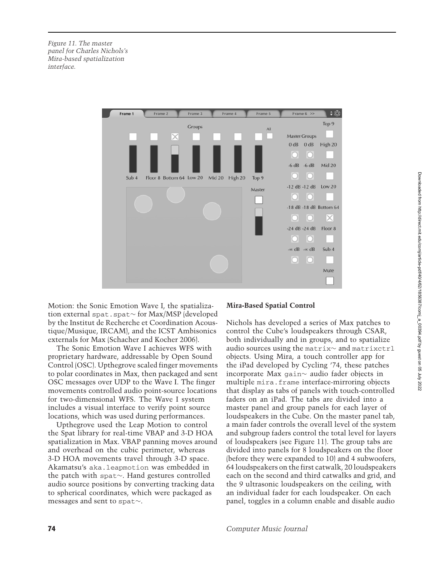*Figure 11. The master panel for Charles Nichols's Mira-based spatialization interface.*



Motion: the Sonic Emotion Wave I, the spatialization external spat.spat∼ for Max/MSP (developed by the Institut de Recherche et Coordination Acoustique/Musique, IRCAM), and the ICST Ambisonics externals for Max (Schacher and Kocher 2006).

The Sonic Emotion Wave I achieves WFS with proprietary hardware, addressable by Open Sound Control (OSC). Upthegrove scaled finger movements to polar coordinates in Max, then packaged and sent OSC messages over UDP to the Wave I. The finger movements controlled audio point-source locations for two-dimensional WFS. The Wave I system includes a visual interface to verify point source locations, which was used during performances.

Upthegrove used the Leap Motion to control the Spat library for real-time VBAP and 3-D HOA spatialization in Max. VBAP panning moves around and overhead on the cubic perimeter, whereas 3-D HOA movements travel through 3-D space. Akamatsu's aka.leapmotion was embedded in the patch with spat∼. Hand gestures controlled audio source positions by converting tracking data to spherical coordinates, which were packaged as messages and sent to spat∼.

### **Mira-Based Spatial Control**

Nichols has developed a series of Max patches to control the Cube's loudspeakers through CSAR, both individually and in groups, and to spatialize audio sources using the matrix∼ and matrixctrl objects. Using Mira, a touch controller app for the iPad developed by Cycling '74, these patches incorporate Max gain∼ audio fader objects in multiple mira.frame interface-mirroring objects that display as tabs of panels with touch-controlled faders on an iPad. The tabs are divided into a master panel and group panels for each layer of loudspeakers in the Cube. On the master panel tab, a main fader controls the overall level of the system and subgroup faders control the total level for layers of loudspeakers (see Figure 11). The group tabs are divided into panels for 8 loudspeakers on the floor (before they were expanded to 10) and 4 subwoofers, 64 loudspeakers on the first catwalk, 20 loudspeakers each on the second and third catwalks and grid, and the 9 ultrasonic loudspeakers on the ceiling, with an individual fader for each loudspeaker. On each panel, toggles in a column enable and disable audio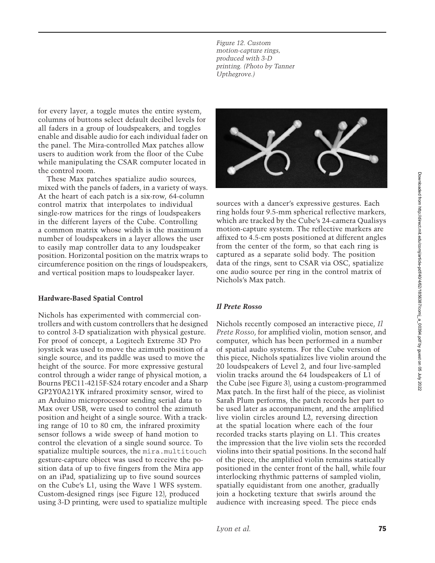*Figure 12. Custom motion-capture rings, produced with 3-D printing. (Photo by Tanner Upthegrove.)*

for every layer, a toggle mutes the entire system, columns of buttons select default decibel levels for all faders in a group of loudspeakers, and toggles enable and disable audio for each individual fader on the panel. The Mira-controlled Max patches allow users to audition work from the floor of the Cube while manipulating the CSAR computer located in the control room.

These Max patches spatialize audio sources, mixed with the panels of faders, in a variety of ways. At the heart of each patch is a six-row, 64-column control matrix that interpolates to individual single-row matrices for the rings of loudspeakers in the different layers of the Cube. Controlling a common matrix whose width is the maximum number of loudspeakers in a layer allows the user to easily map controller data to any loudspeaker position. Horizontal position on the matrix wraps to circumference position on the rings of loudspeakers, and vertical position maps to loudspeaker layer.

#### **Hardware-Based Spatial Control**

Nichols has experimented with commercial controllers and with custom controllers that he designed to control 3-D spatialization with physical gesture. For proof of concept, a Logitech Extreme 3D Pro joystick was used to move the azimuth position of a single source, and its paddle was used to move the height of the source. For more expressive gestural control through a wider range of physical motion, a Bourns PEC11-4215F-S24 rotary encoder and a Sharp GP2Y0A21YK infrared proximity sensor, wired to an Arduino microprocessor sending serial data to Max over USB, were used to control the azimuth position and height of a single source. With a tracking range of 10 to 80 cm, the infrared proximity sensor follows a wide sweep of hand motion to control the elevation of a single sound source. To spatialize multiple sources, the mira.multitouch gesture-capture object was used to receive the position data of up to five fingers from the Mira app on an iPad, spatializing up to five sound sources on the Cube's L1, using the Wave 1 WFS system. Custom-designed rings (see Figure 12), produced using 3-D printing, were used to spatialize multiple



sources with a dancer's expressive gestures. Each ring holds four 9.5-mm spherical reflective markers, which are tracked by the Cube's 24-camera Qualisys motion-capture system. The reflective markers are affixed to 4.5-cm posts positioned at different angles from the center of the form, so that each ring is captured as a separate solid body. The position data of the rings, sent to CSAR via OSC, spatialize one audio source per ring in the control matrix of Nichols's Max patch.

#### *Il Prete Rosso*

Nichols recently composed an interactive piece, *Il Prete Rosso*, for amplified violin, motion sensor, and computer, which has been performed in a number of spatial audio systems. For the Cube version of this piece, Nichols spatializes live violin around the 20 loudspeakers of Level 2, and four live-sampled violin tracks around the 64 loudspeakers of L1 of the Cube (see Figure 3), using a custom-programmed Max patch. In the first half of the piece, as violinist Sarah Plum performs, the patch records her part to be used later as accompaniment, and the amplified live violin circles around L2, reversing direction at the spatial location where each of the four recorded tracks starts playing on L1. This creates the impression that the live violin sets the recorded violins into their spatial positions. In the second half of the piece, the amplified violin remains statically positioned in the center front of the hall, while four interlocking rhythmic patterns of sampled violin, spatially equidistant from one another, gradually join a hocketing texture that swirls around the audience with increasing speed. The piece ends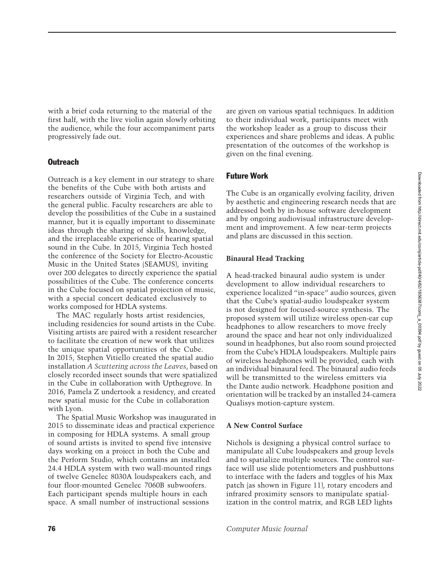with a brief coda returning to the material of the first half, with the live violin again slowly orbiting the audience, while the four accompaniment parts progressively fade out.

# **Outreach**

Outreach is a key element in our strategy to share the benefits of the Cube with both artists and researchers outside of Virginia Tech, and with the general public. Faculty researchers are able to develop the possibilities of the Cube in a sustained manner, but it is equally important to disseminate ideas through the sharing of skills, knowledge, and the irreplaceable experience of hearing spatial sound in the Cube. In 2015, Virginia Tech hosted the conference of the Society for Electro-Acoustic Music in the United States (SEAMUS), inviting over 200 delegates to directly experience the spatial possibilities of the Cube. The conference concerts in the Cube focused on spatial projection of music, with a special concert dedicated exclusively to works composed for HDLA systems.

The MAC regularly hosts artist residencies, including residencies for sound artists in the Cube. Visiting artists are paired with a resident researcher to facilitate the creation of new work that utilizes the unique spatial opportunities of the Cube. In 2015, Stephen Vitiello created the spatial audio installation *A Scuttering across the Leaves*, based on closely recorded insect sounds that were spatialized in the Cube in collaboration with Upthegrove. In 2016, Pamela Z undertook a residency, and created new spatial music for the Cube in collaboration with Lyon.

The Spatial Music Workshop was inaugurated in 2015 to disseminate ideas and practical experience in composing for HDLA systems. A small group of sound artists is invited to spend five intensive days working on a project in both the Cube and the Perform Studio, which contains an installed 24.4 HDLA system with two wall-mounted rings of twelve Genelec 8030A loudspeakers each, and four floor-mounted Genelec 7060B subwoofers. Each participant spends multiple hours in each space. A small number of instructional sessions

are given on various spatial techniques. In addition to their individual work, participants meet with the workshop leader as a group to discuss their experiences and share problems and ideas. A public presentation of the outcomes of the workshop is given on the final evening.

# Future Work

The Cube is an organically evolving facility, driven by aesthetic and engineering research needs that are addressed both by in-house software development and by ongoing audiovisual infrastructure development and improvement. A few near-term projects and plans are discussed in this section.

## **Binaural Head Tracking**

A head-tracked binaural audio system is under development to allow individual researchers to experience localized "in-space" audio sources, given that the Cube's spatial-audio loudspeaker system is not designed for focused-source synthesis. The proposed system will utilize wireless open-ear cup headphones to allow researchers to move freely around the space and hear not only individualized sound in headphones, but also room sound projected from the Cube's HDLA loudspeakers. Multiple pairs of wireless headphones will be provided, each with an individual binaural feed. The binaural audio feeds will be transmitted to the wireless emitters via the Dante audio network. Headphone position and orientation will be tracked by an installed 24-camera Qualisys motion-capture system.

## **A New Control Surface**

Nichols is designing a physical control surface to manipulate all Cube loudspeakers and group levels and to spatialize multiple sources. The control surface will use slide potentiometers and pushbuttons to interface with the faders and toggles of his Max patch (as shown in Figure 11), rotary encoders and infrared proximity sensors to manipulate spatialization in the control matrix, and RGB LED lights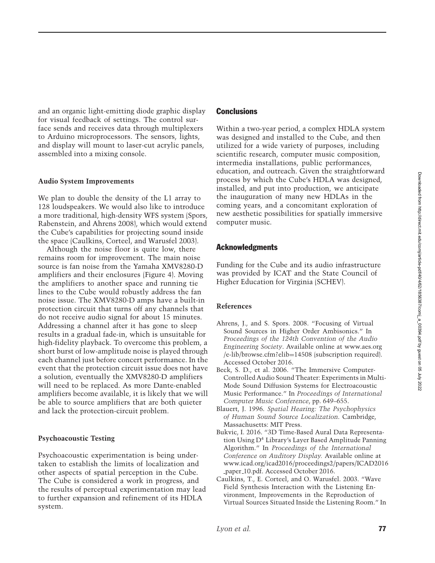and an organic light-emitting diode graphic display for visual feedback of settings. The control surface sends and receives data through multiplexers to Arduino microprocessors. The sensors, lights, and display will mount to laser-cut acrylic panels, assembled into a mixing console.

## **Audio System Improvements**

We plan to double the density of the L1 array to 128 loudspeakers. We would also like to introduce a more traditional, high-density WFS system (Spors, Rabenstein, and Ahrens 2008), which would extend the Cube's capabilities for projecting sound inside the space (Caulkins, Corteel, and Warusfel 2003).

Although the noise floor is quite low, there remains room for improvement. The main noise source is fan noise from the Yamaha XMV8280-D amplifiers and their enclosures (Figure 4). Moving the amplifiers to another space and running tie lines to the Cube would robustly address the fan noise issue. The XMV8280-D amps have a built-in protection circuit that turns off any channels that do not receive audio signal for about 15 minutes. Addressing a channel after it has gone to sleep results in a gradual fade-in, which is unsuitable for high-fidelity playback. To overcome this problem, a short burst of low-amplitude noise is played through each channel just before concert performance. In the event that the protection circuit issue does not have a solution, eventually the XMV8280-D amplifiers will need to be replaced. As more Dante-enabled amplifiers become available, it is likely that we will be able to source amplifiers that are both quieter and lack the protection-circuit problem.

#### **Psychoacoustic Testing**

Psychoacoustic experimentation is being undertaken to establish the limits of localization and other aspects of spatial perception in the Cube. The Cube is considered a work in progress, and the results of perceptual experimentation may lead to further expansion and refinement of its HDLA system.

## **Conclusions**

Within a two-year period, a complex HDLA system was designed and installed to the Cube, and then utilized for a wide variety of purposes, including scientific research, computer music composition, intermedia installations, public performances, education, and outreach. Given the straightforward process by which the Cube's HDLA was designed, installed, and put into production, we anticipate the inauguration of many new HDLAs in the coming years, and a concomitant exploration of new aesthetic possibilities for spatially immersive computer music.

#### Acknowledgments

Funding for the Cube and its audio infrastructure was provided by ICAT and the State Council of Higher Education for Virginia (SCHEV).

#### **References**

- Ahrens, J., and S. Spors. 2008. "Focusing of Virtual Sound Sources in Higher Order Ambisonics." In *Proceedings of the 124th Convention of the Audio Engineering Society*. Available online at www.aes.org /e-lib/browse.cfm?elib=14508 (subscription required). Accessed October 2016.
- Beck, S. D., et al. 2006. "The Immersive Computer-Controlled Audio Sound Theater: Experiments in Multi-Mode Sound Diffusion Systems for Electroacoustic Music Performance." In *Proceedings of International Computer Music Conference*, pp. 649–655.
- Blauert, J. 1996. *Spatial Hearing: The Psychophysics of Human Sound Source Localization*. Cambridge, Massachusetts: MIT Press.
- Bukvic, I. 2016. "3D Time-Based Aural Data Representation Using D<sup>4</sup> Library's Layer Based Amplitude Panning Algorithm." In *Proceedings of the International Conference on Auditory Display.* Available online at www.icad.org/icad2016/proceedings2/papers/ICAD2016 paper 10.pdf. Accessed October 2016.
- Caulkins, T., E. Corteel, and O. Warusfel. 2003. "Wave Field Synthesis Interaction with the Listening Environment, Improvements in the Reproduction of Virtual Sources Situated Inside the Listening Room." In